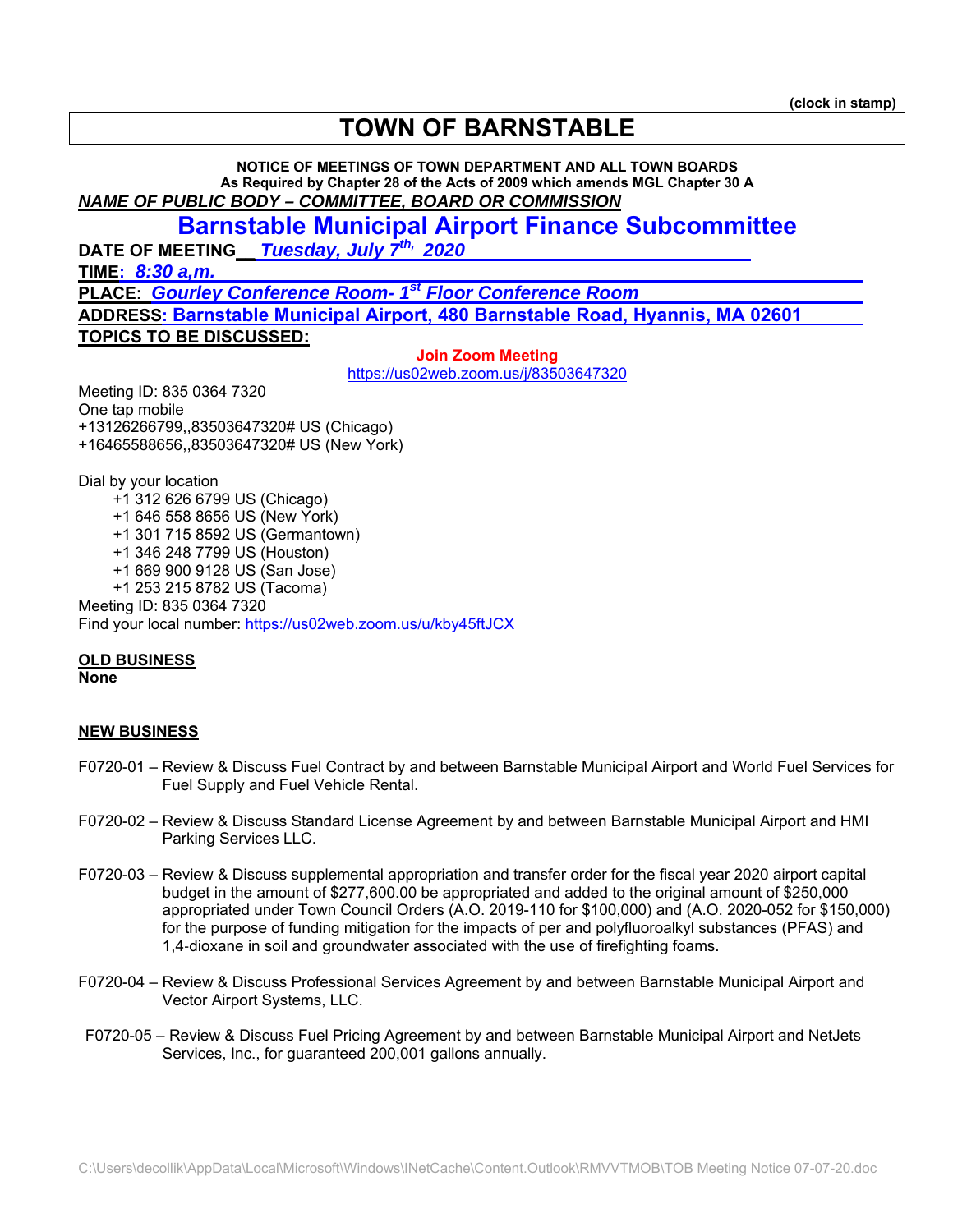# **TOWN OF BARNSTABLE**

**NOTICE OF MEETINGS OF TOWN DEPARTMENT AND ALL TOWN BOARDS As Required by Chapter 28 of the Acts of 2009 which amends MGL Chapter 30 A**  *NAME OF PUBLIC BODY – COMMITTEE, BOARD OR COMMISSION* 

## **Barnstable Municipal Airport Finance Subcommittee**

**DATE OF MEETING\_\_** *Tuesday, July 7th, 2020* 

**TIME:** *8:30 a,m.* 

**PLACE:** *Gourley Conference Room- 1st Floor Conference Room*  **ADDRESS: Barnstable Municipal Airport, 480 Barnstable Road, Hyannis, MA 02601 TOPICS TO BE DISCUSSED:**

> **Join Zoom Meeting**  https://us02web.zoom.us/j/83503647320

Meeting ID: 835 0364 7320 One tap mobile +13126266799,,83503647320# US (Chicago) +16465588656,,83503647320# US (New York)

Dial by your location +1 312 626 6799 US (Chicago) +1 646 558 8656 US (New York) +1 301 715 8592 US (Germantown) +1 346 248 7799 US (Houston) +1 669 900 9128 US (San Jose) +1 253 215 8782 US (Tacoma) Meeting ID: 835 0364 7320 Find your local number: https://us02web.zoom.us/u/kby45ftJCX

### **OLD BUSINESS**

**None** 

### **NEW BUSINESS**

- F0720-01 Review & Discuss Fuel Contract by and between Barnstable Municipal Airport and World Fuel Services for Fuel Supply and Fuel Vehicle Rental.
- F0720-02 Review & Discuss Standard License Agreement by and between Barnstable Municipal Airport and HMI Parking Services LLC.
- F0720-03 Review & Discuss supplemental appropriation and transfer order for the fiscal year 2020 airport capital budget in the amount of \$277,600.00 be appropriated and added to the original amount of \$250,000 appropriated under Town Council Orders (A.O. 2019-110 for \$100,000) and (A.O. 2020-052 for \$150,000) for the purpose of funding mitigation for the impacts of per and polyfluoroalkyl substances (PFAS) and 1,4-dioxane in soil and groundwater associated with the use of firefighting foams.
- F0720-04 Review & Discuss Professional Services Agreement by and between Barnstable Municipal Airport and Vector Airport Systems, LLC.
- F0720-05 Review & Discuss Fuel Pricing Agreement by and between Barnstable Municipal Airport and NetJets Services, Inc., for guaranteed 200,001 gallons annually.